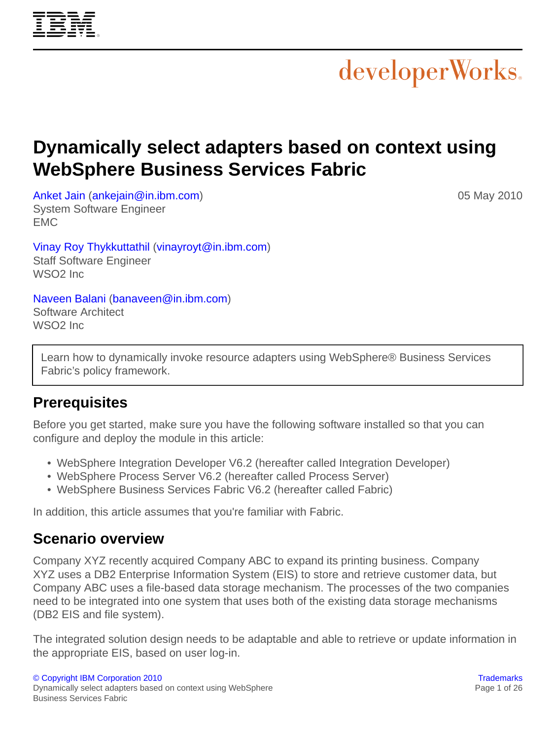# **Dynamically select adapters based on context using WebSphere Business Services Fabric**

[Anket Jain](#page-25-0) ([ankejain@in.ibm.com\)](mailto:ankejain@in.ibm.com) System Software Engineer EMC

[Vinay Roy Thykkuttathil](#page-25-0) ([vinayroyt@in.ibm.com\)](mailto:vinayroyt@in.ibm.com) Staff Software Engineer WSO2 Inc

[Naveen Balani](#page-25-0) ([banaveen@in.ibm.com\)](mailto:banaveen@in.ibm.com) Software Architect WSO2 Inc

Learn how to dynamically invoke resource adapters using WebSphere® Business Services Fabric's policy framework.

# **Prerequisites**

Before you get started, make sure you have the following software installed so that you can configure and deploy the module in this article:

- WebSphere Integration Developer V6.2 (hereafter called Integration Developer)
- WebSphere Process Server V6.2 (hereafter called Process Server)
- WebSphere Business Services Fabric V6.2 (hereafter called Fabric)

In addition, this article assumes that you're familiar with Fabric.

# **Scenario overview**

Company XYZ recently acquired Company ABC to expand its printing business. Company XYZ uses a DB2 Enterprise Information System (EIS) to store and retrieve customer data, but Company ABC uses a file-based data storage mechanism. The processes of the two companies need to be integrated into one system that uses both of the existing data storage mechanisms (DB2 EIS and file system).

The integrated solution design needs to be adaptable and able to retrieve or update information in the appropriate EIS, based on user log-in.



05 May 2010

developerWorks.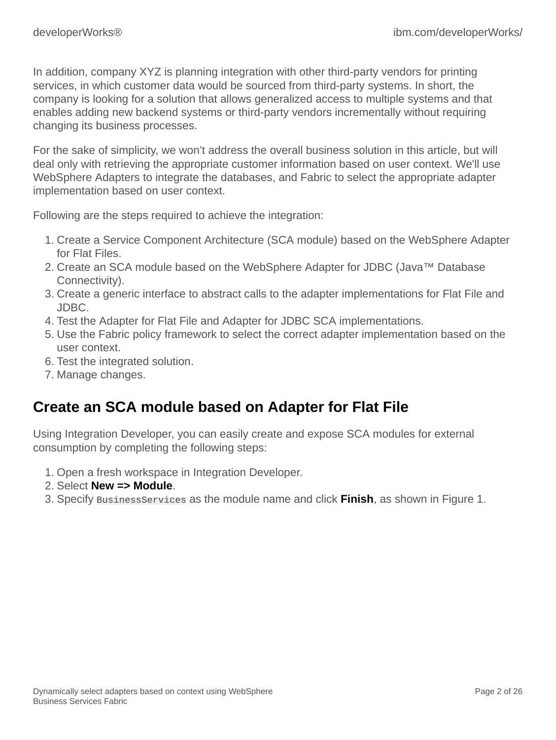In addition, company XYZ is planning integration with other third-party vendors for printing services, in which customer data would be sourced from third-party systems. In short, the company is looking for a solution that allows generalized access to multiple systems and that enables adding new backend systems or third-party vendors incrementally without requiring changing its business processes.

For the sake of simplicity, we won't address the overall business solution in this article, but will deal only with retrieving the appropriate customer information based on user context. We'll use WebSphere Adapters to integrate the databases, and Fabric to select the appropriate adapter implementation based on user context.

Following are the steps required to achieve the integration:

- 1. Create a Service Component Architecture (SCA module) based on the WebSphere Adapter for Flat Files.
- 2. Create an SCA module based on the WebSphere Adapter for JDBC (Java™ Database Connectivity).
- 3. Create a generic interface to abstract calls to the adapter implementations for Flat File and JDBC.
- 4. Test the Adapter for Flat File and Adapter for JDBC SCA implementations.
- 5. Use the Fabric policy framework to select the correct adapter implementation based on the user context.
- 6. Test the integrated solution.
- 7. Manage changes.

# **Create an SCA module based on Adapter for Flat File**

Using Integration Developer, you can easily create and expose SCA modules for external consumption by completing the following steps:

- 1. Open a fresh workspace in Integration Developer.
- 2. Select **New => Module**.
- 3. Specify BusinessServices as the module name and click **Finish**, as shown in Figure 1.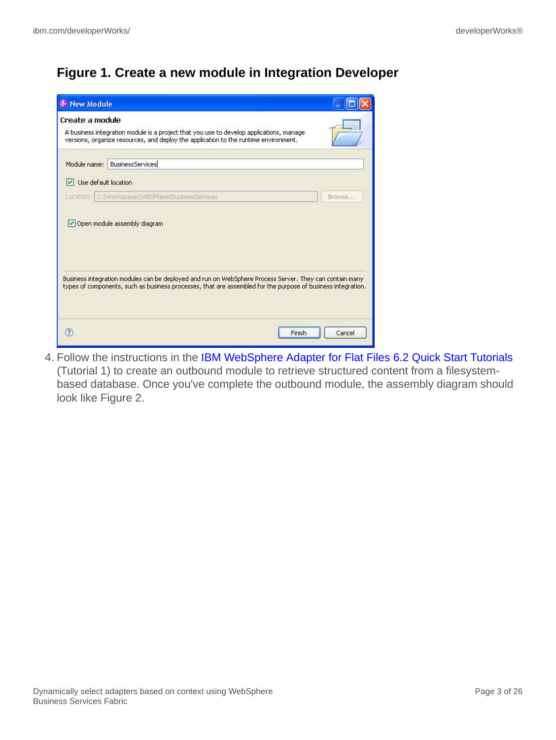# **Figure 1. Create a new module in Integration Developer**

| <b>J</b> New Module |                                                                                                                                                                                                                                                         |        |
|---------------------|---------------------------------------------------------------------------------------------------------------------------------------------------------------------------------------------------------------------------------------------------------|--------|
| Create a module     | A business integration module is a project that you use to develop applications, manage<br>versions, organize resources, and deploy the application to the runtime environment.                                                                         |        |
| Module name:        | <b>BusinessServices</b>                                                                                                                                                                                                                                 |        |
| M                   | Use default location                                                                                                                                                                                                                                    |        |
| Location:           | C:\Workspaces\WBSFNew\BusinessServices                                                                                                                                                                                                                  | Browse |
|                     | Open module assembly diagram<br>Business integration modules can be deployed and run on WebSphere Process Server. They can contain many<br>types of components, such as business processes, that are assembled for the purpose of business integration. |        |
| $\sqrt{2}$          | Finish                                                                                                                                                                                                                                                  | Cancel |

4. Follow the instructions in the [IBM WebSphere Adapter for Flat Files 6.2 Quick Start Tutorials](http://publib.boulder.ibm.com/bpcsamp/v6r2/externalconnections/flatfilesAdapterv62/download/IBM%20WebSphere%20Adapter%20for%20FlatFiles%206.2.0.0%20Quick%20Start%20Tutorials.pdf) (Tutorial 1) to create an outbound module to retrieve structured content from a filesystembased database. Once you've complete the outbound module, the assembly diagram should look like Figure 2.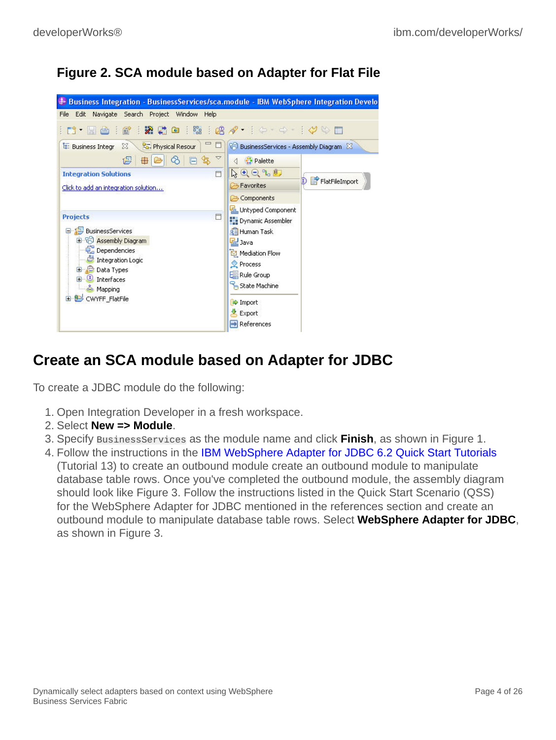# **Figure 2. SCA module based on Adapter for Flat File**



# **Create an SCA module based on Adapter for JDBC**

To create a JDBC module do the following:

- 1. Open Integration Developer in a fresh workspace.
- 2. Select **New => Module**.
- 3. Specify BusinessServices as the module name and click **Finish**, as shown in Figure 1.
- 4. Follow the instructions in the [IBM WebSphere Adapter for JDBC 6.2 Quick Start Tutorials](http://publib.boulder.ibm.com/bpcsamp/v6r2/externalconnections/jdbcAdapterv62/download/IBM%20WebSphere%20Adapter%20for%20JDBC%206.2%20QSS%20R1D1.pdf) (Tutorial 13) to create an outbound module create an outbound module to manipulate database table rows. Once you've completed the outbound module, the assembly diagram should look like Figure 3. Follow the instructions listed in the Quick Start Scenario (QSS) for the WebSphere Adapter for JDBC mentioned in the references section and create an outbound module to manipulate database table rows. Select **WebSphere Adapter for JDBC**, as shown in Figure 3.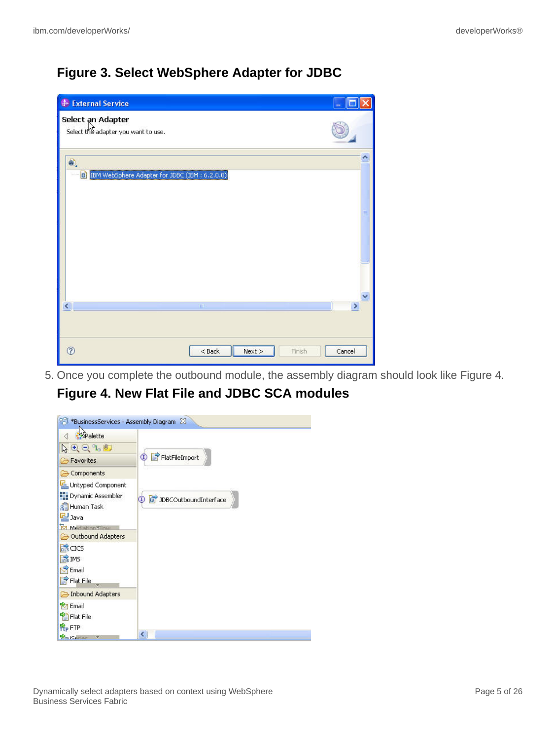# **Figure 3. Select WebSphere Adapter for JDBC**

| <b>J.</b> External Service                               |             |      |        |        |
|----------------------------------------------------------|-------------|------|--------|--------|
| Select an Adapter<br>Select the adapter you want to use. |             |      |        |        |
| €,<br>ED IBM WebSphere Adapter for JDBC (IBM: 6.2.0.0)   |             |      |        |        |
|                                                          |             |      |        |        |
|                                                          |             |      |        |        |
|                                                          | <b>TOUT</b> |      |        |        |
| $\widehat{\mathcal{C}}$                                  | $<$ Back    | Next | Finish | Cancel |

5. Once you complete the outbound module, the assembly diagram should look like Figure 4.

**Figure 4. New Flat File and JDBC SCA modules**

| <sup>28</sup> *BusinessServices - Assembly Diagram 23      |                                   |
|------------------------------------------------------------|-----------------------------------|
| <b>A</b><br>Palette                                        |                                   |
| $Q \in \mathcal{A}$                                        |                                   |
| Favorites                                                  | FlatFileImport<br>$^\mathrm{(I)}$ |
| Components                                                 |                                   |
| Untyped Component                                          |                                   |
| Dynamic Assembler<br><b>RE</b> Human Task<br>B Java        | JDBCOutboundInterface             |
| Mediation Flow                                             |                                   |
| Outbound Adapters                                          |                                   |
| <b>RECICS</b>                                              |                                   |
| I. IMS                                                     |                                   |
| <b>P</b> Email                                             |                                   |
| F Flat File                                                |                                   |
| Inbound Adapters                                           |                                   |
| <b>R</b> <sub>7</sub> Email                                |                                   |
| <b>Parish File</b>                                         |                                   |
| <b>R</b> <sub>P</sub> FTP                                  |                                   |
| $\mathcal{P}_{\text{m}}$ is crime $\mathcal{P}_{\text{c}}$ | ≺                                 |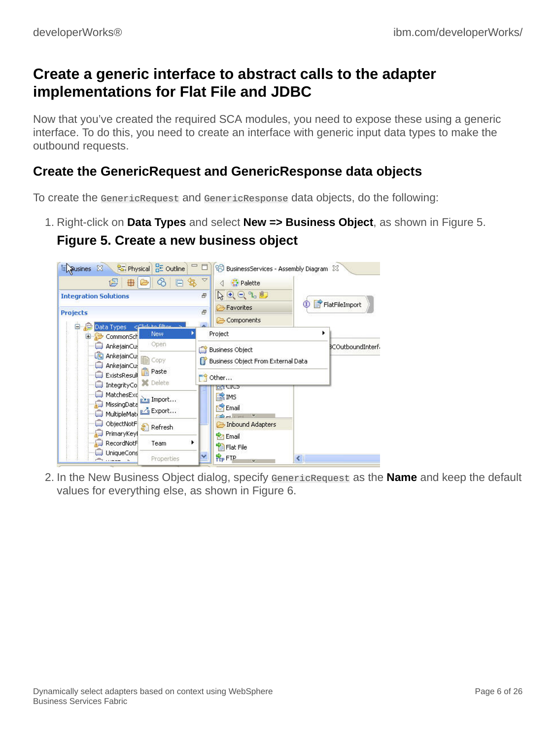# **Create a generic interface to abstract calls to the adapter implementations for Flat File and JDBC**

Now that you've created the required SCA modules, you need to expose these using a generic interface. To do this, you need to create an interface with generic input data types to make the outbound requests.

### **Create the GenericRequest and GenericResponse data objects**

To create the GenericRequest and GenericResponse data objects, do the following:

1. Right-click on **Data Types** and select **New => Business Object**, as shown in Figure 5.

### **Figure 5. Create a new business object**



2. In the New Business Object dialog, specify GenericRequest as the **Name** and keep the default values for everything else, as shown in Figure 6.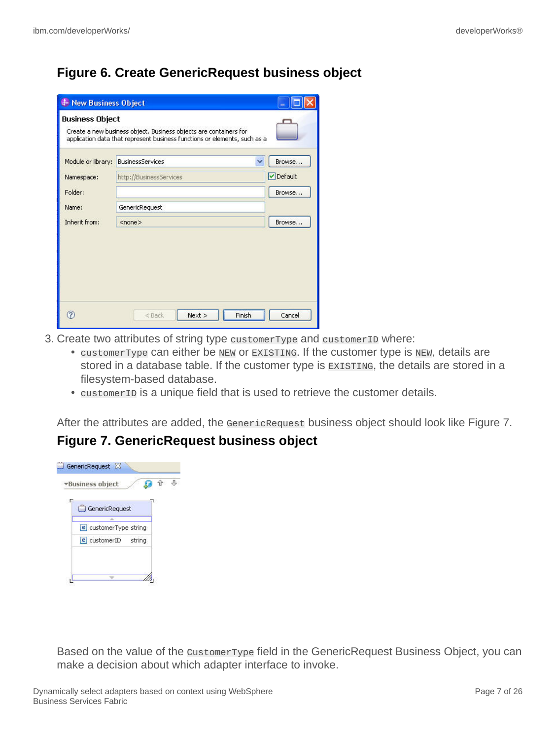### **Figure 6. Create GenericRequest business object**

| <b>J</b> New Business Object |                                                                                                                                                |         |
|------------------------------|------------------------------------------------------------------------------------------------------------------------------------------------|---------|
| <b>Business Object</b>       | Create a new business object. Business objects are containers for<br>application data that represent business functions or elements, such as a |         |
| Module or library:           | <b>BusinessServices</b><br>Ÿ                                                                                                                   | Browse  |
| Namespace:                   | http://BusinessServices                                                                                                                        | Default |
| Folder:                      |                                                                                                                                                | Browse  |
| Name:                        | GenericRequest                                                                                                                                 |         |
| Inherit from:                | $<$ none $>$                                                                                                                                   | Browse  |
|                              |                                                                                                                                                |         |
| $\circledR$                  | Finish<br>Next<br><back< td=""><td>Cancel</td></back<>                                                                                         | Cancel  |

- 3. Create two attributes of string type customerType and customerID where:
	- customerType can either be NEW or EXISTING. If the customer type is NEW, details are stored in a database table. If the customer type is EXISTING, the details are stored in a filesystem-based database.
	- customerID is a unique field that is used to retrieve the customer details.

After the attributes are added, the GenericRequest business object should look like Figure 7.

#### **Figure 7. GenericRequest business object**

| GenericRequest           |  |
|--------------------------|--|
| e customerType string    |  |
| $e$ customerID<br>string |  |

Based on the value of the CustomerType field in the GenericRequest Business Object, you can make a decision about which adapter interface to invoke.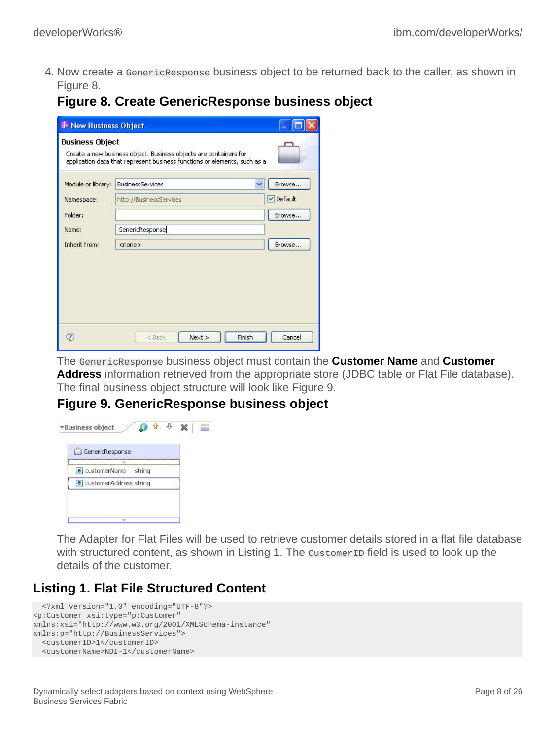4. Now create a GenericResponse business object to be returned back to the caller, as shown in Figure 8.

# **Figure 8. Create GenericResponse business object**

| <b>J</b> New Business Object |                                                                                                                                                |           |
|------------------------------|------------------------------------------------------------------------------------------------------------------------------------------------|-----------|
| <b>Business Object</b>       | Create a new business object. Business objects are containers for<br>application data that represent business functions or elements, such as a |           |
| Module or library:           | <b>BusinessServices</b><br>v                                                                                                                   | Browse    |
| Namespace:                   | http://BusinessServices                                                                                                                        | O Default |
| Folder:                      |                                                                                                                                                | Browse    |
| Name:                        | GenericResponse                                                                                                                                |           |
| Inherit from:                | $<$ none $>$                                                                                                                                   | Browse    |
|                              |                                                                                                                                                |           |
|                              |                                                                                                                                                |           |
|                              |                                                                                                                                                |           |
|                              |                                                                                                                                                |           |
|                              |                                                                                                                                                |           |
|                              | Finish<br>Next<br><back< td=""><td>Cancel</td></back<>                                                                                         | Cancel    |

The GenericResponse business object must contain the **Customer Name** and **Customer Address** information retrieved from the appropriate store (JDBC table or Flat File database). The final business object structure will look like Figure 9.

### **Figure 9. GenericResponse business object**



The Adapter for Flat Files will be used to retrieve customer details stored in a flat file database with structured content, as shown in Listing 1. The customer ID field is used to look up the details of the customer.

## **Listing 1. Flat File Structured Content**

```
 <?xml version="1.0" encoding="UTF-8"?>
<p:Customer xsi:type="p:Customer"
xmlns:xsi="http://www.w3.org/2001/XMLSchema-instance"
xmlns:p="http://BusinessServices">
  <customerID>1</customerID>
  <customerName>NDI-1</customerName>
```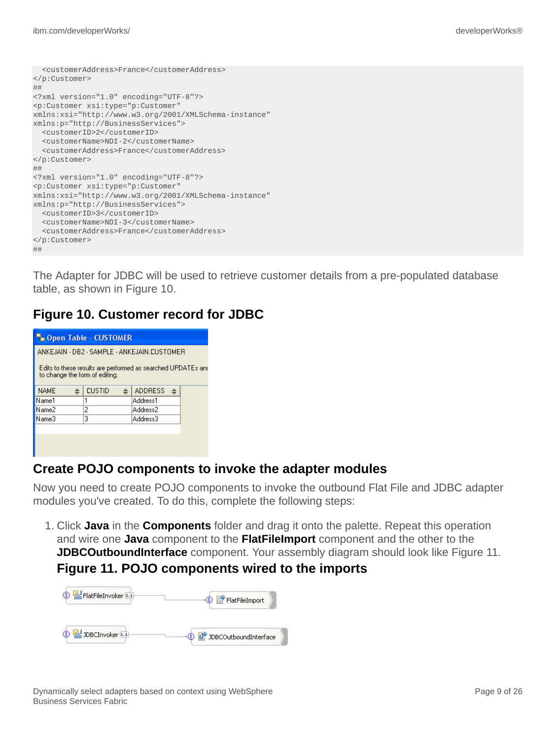```
 <customerAddress>France</customerAddress>
</p:Customer>
##
<?xml version="1.0" encoding="UTF-8"?>
<p:Customer xsi:type="p:Customer"
xmlns:xsi="http://www.w3.org/2001/XMLSchema-instance"
xmlns:p="http://BusinessServices">
  <customerID>2</customerID>
  <customerName>NDI-2</customerName>
  <customerAddress>France</customerAddress>
</p:Customer>
##
<?xml version="1.0" encoding="UTF-8"?>
<p:Customer xsi:type="p:Customer"
xmlns:xsi="http://www.w3.org/2001/XMLSchema-instance"
xmlns:p="http://BusinessServices">
  <customerID>3</customerID>
  <customerName>NDI-3</customerName>
   <customerAddress>France</customerAddress>
</p:Customer>
##
```
The Adapter for JDBC will be used to retrieve customer details from a pre-populated database table, as shown in Figure 10.

### **Figure 10. Customer record for JDBC**

|             | <b>To Open Table - CUSTOMER</b><br>ANKEJAIN - DB2 - SAMPLE - ANKEJAIN CUSTOMER<br>Edits to these results are performed as searched UPDATEs and<br>to change the form of editing. |                     |  |  |  |  |
|-------------|----------------------------------------------------------------------------------------------------------------------------------------------------------------------------------|---------------------|--|--|--|--|
| <b>NAME</b> | <b>CUSTID</b><br>≙<br>⇔                                                                                                                                                          | <b>ADDRESS</b><br>⇔ |  |  |  |  |
| Name1       |                                                                                                                                                                                  | Address1            |  |  |  |  |
| Name2       | 2                                                                                                                                                                                | Address2            |  |  |  |  |
| Name3       | з<br>Address3                                                                                                                                                                    |                     |  |  |  |  |
|             |                                                                                                                                                                                  |                     |  |  |  |  |

### **Create POJO components to invoke the adapter modules**

Now you need to create POJO components to invoke the outbound Flat File and JDBC adapter modules you've created. To do this, complete the following steps:

1. Click **Java** in the **Components** folder and drag it onto the palette. Repeat this operation and wire one **Java** component to the **FlatFileImport** component and the other to the **JDBCOutboundInterface** component. Your assembly diagram should look like Figure 11. **Figure 11. POJO components wired to the imports**

| FlatFileInvoker [1.1] | FlatFileImport            |
|-----------------------|---------------------------|
| JDBCInvoker 1.1       | D d JDBCOutboundInterface |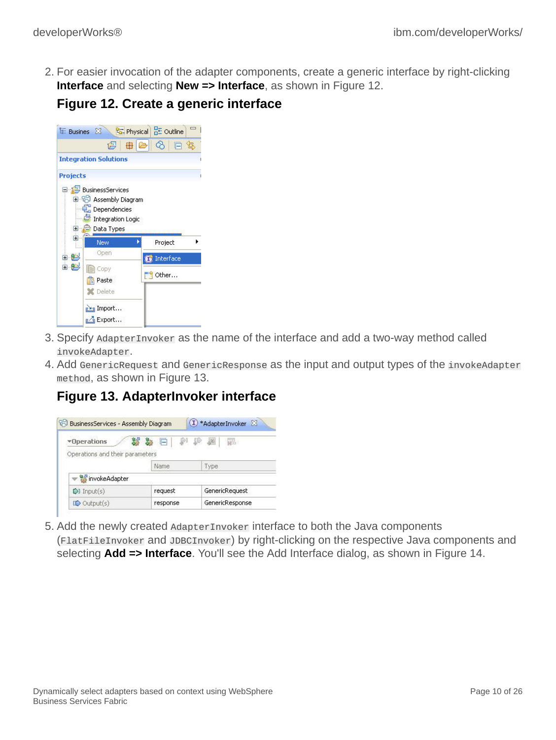2. For easier invocation of the adapter components, create a generic interface by right-clicking **Interface** and selecting **New => Interface**, as shown in Figure 12.

|  |  | <b>Figure 12. Create a generic interface</b> |
|--|--|----------------------------------------------|
|  |  |                                              |

|                 | $E$ Busines $\boxtimes$                                                            | B. Physical BE Outline |  |
|-----------------|------------------------------------------------------------------------------------|------------------------|--|
|                 | 虏                                                                                  | ିତ<br>由日<br>E          |  |
|                 | <b>Integration Solutions</b>                                                       |                        |  |
| <b>Projects</b> |                                                                                    |                        |  |
|                 | <b>Diagram</b> Assembly Diagram<br>Dependencies<br>Integration Logic<br>Data Types |                        |  |
| Ŧ               | New                                                                                | Project                |  |
| Ė               | Open                                                                               |                        |  |
| 魁<br>白鹤         | Copy<br>Paste<br>Delete                                                            | Interface<br>Other     |  |

- 3. Specify AdapterInvoker as the name of the interface and add a two-way method called invokeAdapter.
- 4. Add GenericRequest and GenericResponse as the input and output types of the invokeAdapter method, as shown in Figure 13.

# **Figure 13. AdapterInvoker interface**

| 89 BusinessServices - Assembly Diagram |                    | 1) *AdapterInvoker 23 |
|----------------------------------------|--------------------|-----------------------|
| *Operations                            | 蟲<br>$\overline{}$ | ID<br>福               |
| Operations and their parameters        |                    |                       |
|                                        | Name               | Type                  |
| winvokeAdapter                         |                    |                       |
| $\triangleright$ Input(s)              | request            | GenericRequest        |
|                                        |                    |                       |

5. Add the newly created AdapterInvoker interface to both the Java components (FlatFileInvoker and JDBCInvoker) by right-clicking on the respective Java components and selecting **Add => Interface**. You'll see the Add Interface dialog, as shown in Figure 14.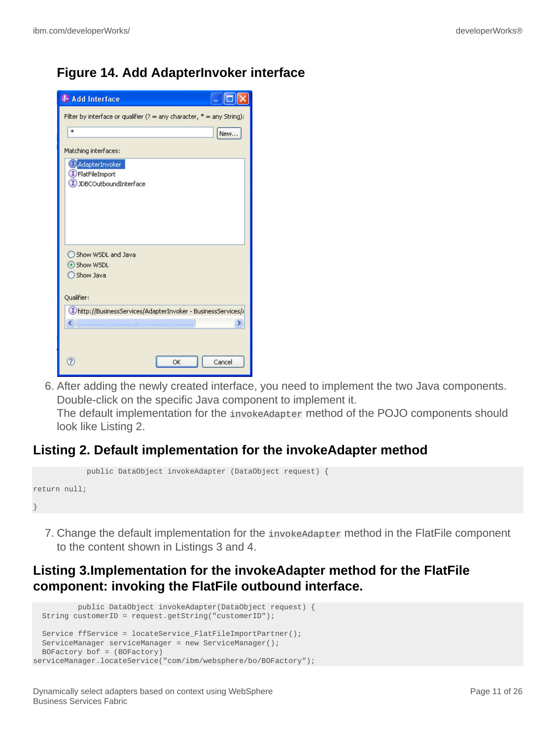### **Figure 14. Add AdapterInvoker interface**

| <b>J</b> Add Interface               |                                                                            |    |        |
|--------------------------------------|----------------------------------------------------------------------------|----|--------|
|                                      | Filter by interface or qualifier $(?) =$ any character, $* =$ any String): |    |        |
| *                                    |                                                                            |    | New    |
| Matching interfaces:                 |                                                                            |    |        |
| AdapterInvoker<br>DFlatFileImport    | JDBCOutboundInterface                                                      |    |        |
| Show WSDL<br>Show Java<br>Qualifier: | Show WSDL and Java                                                         |    |        |
|                                      | (I)http://BusinessServices/AdapterInvoker - BusinessServices//             |    |        |
|                                      | ШÍ                                                                         |    |        |
| 7                                    |                                                                            | OK | Cancel |

6. After adding the newly created interface, you need to implement the two Java components. Double-click on the specific Java component to implement it.

The default implementation for the invokeAdapter method of the POJO components should look like Listing 2.

#### **Listing 2. Default implementation for the invokeAdapter method**

```
 public DataObject invokeAdapter (DataObject request) {
return null;
}
```
7. Change the default implementation for the invokeAdapter method in the FlatFile component to the content shown in Listings 3 and 4.

### **Listing 3.Implementation for the invokeAdapter method for the FlatFile component: invoking the FlatFile outbound interface.**

```
 public DataObject invokeAdapter(DataObject request) {
  String customerID = request.getString("customerID");
  Service ffService = locateService_FlatFileImportPartner();
  ServiceManager serviceManager = new ServiceManager();
  BOFactory bof = (BOFactory)
serviceManager.locateService("com/ibm/websphere/bo/BOFactory");
```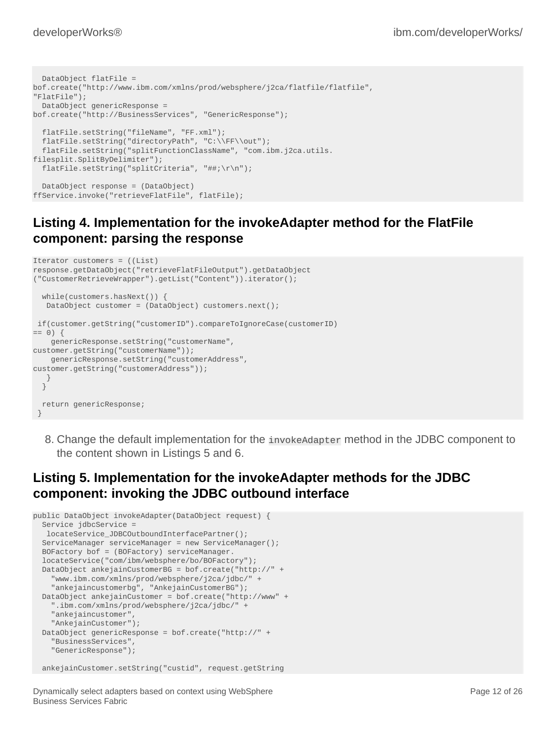```
 DataObject flatFile =
bof.create("http://www.ibm.com/xmlns/prod/websphere/j2ca/flatfile/flatfile",
"FlatFile");
  DataObject genericResponse =
bof.create("http://BusinessServices", "GenericResponse");
   flatFile.setString("fileName", "FF.xml");
  flatFile.setString("directoryPath", "C:\\FF\\out");
  flatFile.setString("splitFunctionClassName", "com.ibm.j2ca.utils.
filesplit.SplitByDelimiter");
  flatFile.setString("splitCriteria", "##;\r\n");
  DataObject response = (DataObject)
ffService.invoke("retrieveFlatFile", flatFile);
```
## **Listing 4. Implementation for the invokeAdapter method for the FlatFile component: parsing the response**

```
Iterator customers = ((List)
response.getDataObject("retrieveFlatFileOutput").getDataObject
("CustomerRetrieveWrapper").getList("Content")).iterator();
  while(customers.hasNext()) {
   DataObject customer = (DataObject) customers.next();
 if(customer.getString("customerID").compareToIgnoreCase(customerID)
== 0) {
    genericResponse.setString("customerName",
customer.getString("customerName"));
     genericResponse.setString("customerAddress",
customer.getString("customerAddress"));
   }
  }
  return genericResponse;
 }
```
8. Change the default implementation for the invokeAdapter method in the JDBC component to the content shown in Listings 5 and 6.

## **Listing 5. Implementation for the invokeAdapter methods for the JDBC component: invoking the JDBC outbound interface**

```
public DataObject invokeAdapter(DataObject request) {
  Service jdbcService =
   locateService_JDBCOutboundInterfacePartner();
  ServiceManager serviceManager = new ServiceManager();
  BOFactory bof = (BOFactory) serviceManager.
  locateService("com/ibm/websphere/bo/BOFactory");
  DataObject ankejainCustomerBG = bof.create("http://" +
     "www.ibm.com/xmlns/prod/websphere/j2ca/jdbc/" +
     "ankejaincustomerbg", "AnkejainCustomerBG");
  DataObject ankejainCustomer = bof.create("http://www" +
     ".ibm.com/xmlns/prod/websphere/j2ca/jdbc/" +
     "ankejaincustomer",
     "AnkejainCustomer");
  DataObject genericResponse = bof.create("http://" +
     "BusinessServices",
     "GenericResponse");
  ankejainCustomer.setString("custid", request.getString
```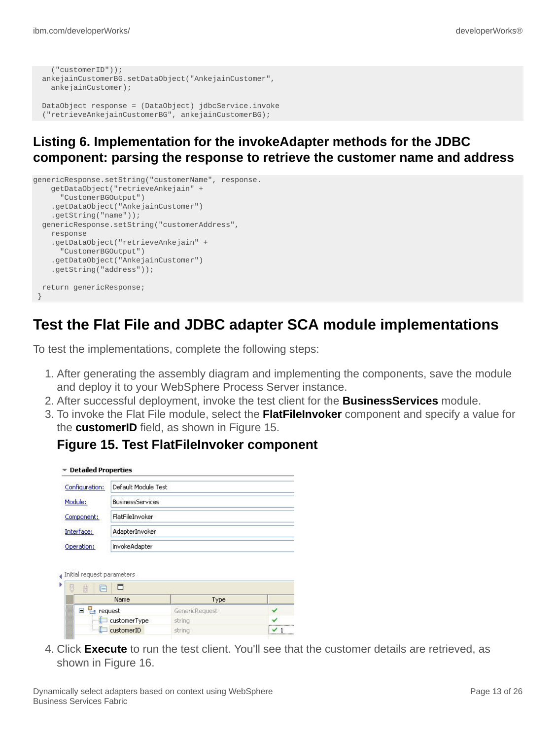```
 ("customerID"));
 ankejainCustomerBG.setDataObject("AnkejainCustomer",
   ankejainCustomer);
 DataObject response = (DataObject) jdbcService.invoke
 ("retrieveAnkejainCustomerBG", ankejainCustomerBG);
```
### **Listing 6. Implementation for the invokeAdapter methods for the JDBC component: parsing the response to retrieve the customer name and address**

```
genericResponse.setString("customerName", response.
    getDataObject("retrieveAnkejain" +
      "CustomerBGOutput")
     .getDataObject("AnkejainCustomer")
     .getString("name"));
  genericResponse.setString("customerAddress",
    response
     .getDataObject("retrieveAnkejain" +
       "CustomerBGOutput")
     .getDataObject("AnkejainCustomer")
     .getString("address"));
  return genericResponse;
 }
```
# **Test the Flat File and JDBC adapter SCA module implementations**

To test the implementations, complete the following steps:

- 1. After generating the assembly diagram and implementing the components, save the module and deploy it to your WebSphere Process Server instance.
- 2. After successful deployment, invoke the test client for the **BusinessServices** module.
- 3. To invoke the Flat File module, select the **FlatFileInvoker** component and specify a value for the **customerID** field, as shown in Figure 15.

#### **Figure 15. Test FlatFileInvoker component**

| Configuration:                           | Default Module Test                        |                |  |  |
|------------------------------------------|--------------------------------------------|----------------|--|--|
| Module:                                  | <b>BusinessServices</b><br>FlatFileInvoker |                |  |  |
| Component:                               |                                            |                |  |  |
| Interface:                               | AdapterInvoker                             |                |  |  |
|                                          |                                            |                |  |  |
|                                          | invokeAdapter                              |                |  |  |
| 茵<br>ß                                   | Ħ                                          |                |  |  |
|                                          | Name                                       | Type           |  |  |
| □ 已 request                              |                                            | GenericRequest |  |  |
| Operation:<br>Initial request parameters | $\Box$ customer Type                       | string         |  |  |

4. Click **Execute** to run the test client. You'll see that the customer details are retrieved, as shown in Figure 16.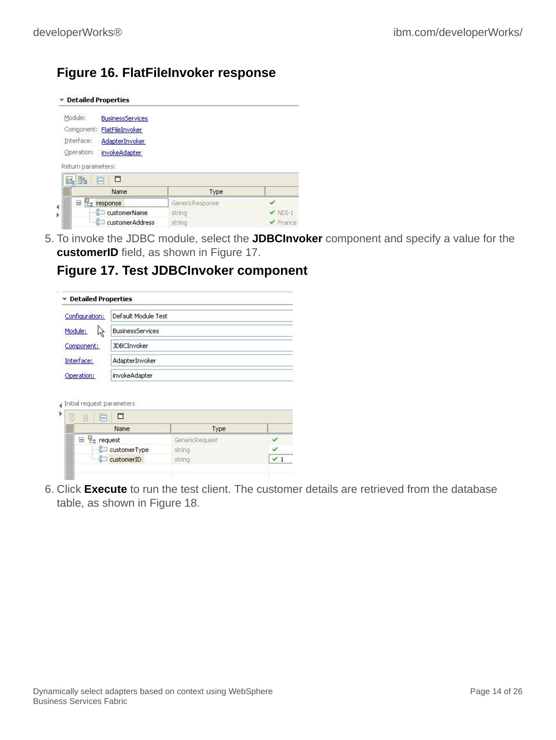### **Figure 16. FlatFileInvoker response**

| <b>Detailed Properties</b>             |                 |                              |
|----------------------------------------|-----------------|------------------------------|
| Module:<br><b>BusinessServices</b>     |                 |                              |
| Component: FlatFileInvoker             |                 |                              |
| Interface:<br><b>AdapterInvoker</b>    |                 |                              |
| Operation:<br>invokeAdapter            |                 |                              |
| Return parameters:<br>Ħ<br>酏<br>甌<br>⊢ |                 |                              |
| Name.                                  | Type.           |                              |
| Θ                                      |                 |                              |
|                                        | GenericResponse |                              |
| response<br>customerName               | string          | $\vee$ NDI-1                 |
| customerAddress                        | string          | $\blacktriangledown$ France. |

5. To invoke the JDBC module, select the **JDBCInvoker** component and specify a value for the **customerID** field, as shown in Figure 17.

#### **Figure 17. Test JDBCInvoker component**

| Configuration: | Default Module Test     |  |
|----------------|-------------------------|--|
| Module:<br>ド   | <b>BusinessServices</b> |  |
| Component:     | <b>JDBCInvoker</b>      |  |
| Interface:     | AdapterInvoker          |  |
| Operation:     | invokeAdapter           |  |

|        | 薩<br>⊣               |                |  |
|--------|----------------------|----------------|--|
|        | Name                 | Type           |  |
| 500000 | $\boxdot$<br>request | GenericRequest |  |
|        | customerType         | string         |  |
|        | customerID           | string         |  |

6. Click **Execute** to run the test client. The customer details are retrieved from the database table, as shown in Figure 18.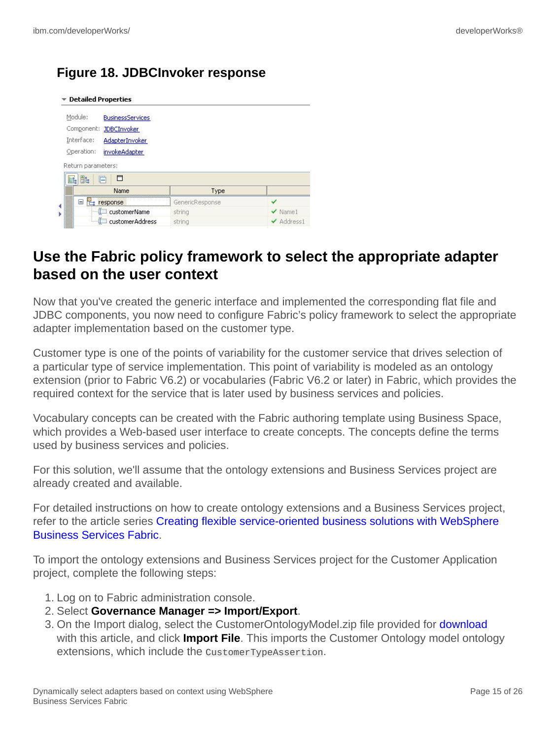# **Figure 18. JDBCInvoker response**

| <b>Detailed Properties</b>         |                 |              |
|------------------------------------|-----------------|--------------|
| Module:<br><b>BusinessServices</b> |                 |              |
| Component: JDBCInvoker             |                 |              |
| Interface:<br>AdapterInvoker       |                 |              |
| Operation:<br>invokeAdapter        |                 |              |
|                                    |                 |              |
| Return parameters:                 |                 |              |
| Ħ<br>Bt.<br>E.<br>÷                |                 |              |
| Name                               | Type            |              |
| $\Box$ $\Xi$ response              | GenericResponse |              |
| customerName                       | string          | $\vee$ Name1 |

# **Use the Fabric policy framework to select the appropriate adapter based on the user context**

Now that you've created the generic interface and implemented the corresponding flat file and JDBC components, you now need to configure Fabric's policy framework to select the appropriate adapter implementation based on the customer type.

Customer type is one of the points of variability for the customer service that drives selection of a particular type of service implementation. This point of variability is modeled as an ontology extension (prior to Fabric V6.2) or vocabularies (Fabric V6.2 or later) in Fabric, which provides the required context for the service that is later used by business services and policies.

Vocabulary concepts can be created with the Fabric authoring template using Business Space, which provides a Web-based user interface to create concepts. The concepts define the terms used by business services and policies.

For this solution, we'll assume that the ontology extensions and Business Services project are already created and available.

For detailed instructions on how to create ontology extensions and a Business Services project, refer to the article series [Creating flexible service-oriented business solutions with WebSphere](http://www.ibm.com/developerworks/views/websphere/libraryview.jsp?search_by=Creating+flexible+service-oriented+business+solutions+with+WebSphere+Business+Services+Fabric,+Part) [Business Services Fabric](http://www.ibm.com/developerworks/views/websphere/libraryview.jsp?search_by=Creating+flexible+service-oriented+business+solutions+with+WebSphere+Business+Services+Fabric,+Part).

To import the ontology extensions and Business Services project for the Customer Application project, complete the following steps:

- 1. Log on to Fabric administration console.
- 2. Select **Governance Manager => Import/Export**.
- 3. On the Import dialog, select the CustomerOntologyModel.zip file provided for [download](#page-23-0) with this article, and click **Import File**. This imports the Customer Ontology model ontology extensions, which include the CustomerTypeAssertion.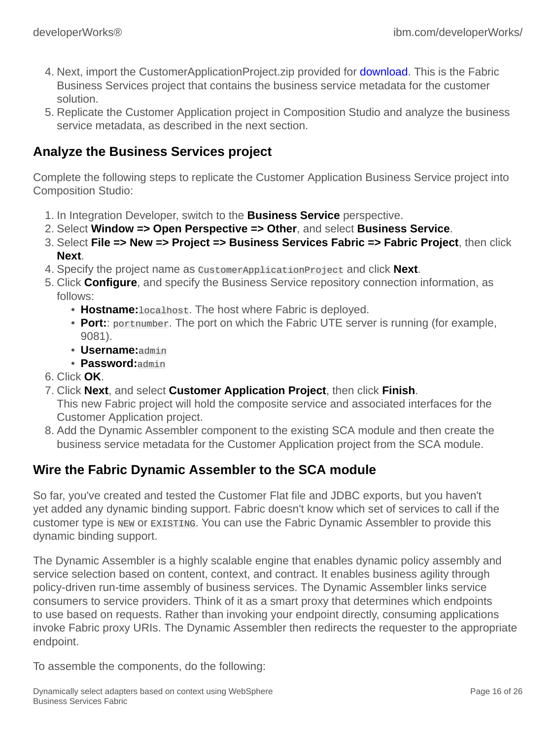- 4. Next, import the CustomerApplicationProject.zip provided for **download**. This is the Fabric Business Services project that contains the business service metadata for the customer solution.
- 5. Replicate the Customer Application project in Composition Studio and analyze the business service metadata, as described in the next section.

### **Analyze the Business Services project**

Complete the following steps to replicate the Customer Application Business Service project into Composition Studio:

- 1. In Integration Developer, switch to the **Business Service** perspective.
- 2. Select **Window => Open Perspective => Other**, and select **Business Service**.
- 3. Select **File => New => Project => Business Services Fabric => Fabric Project**, then click **Next**.
- 4. Specify the project name as CustomerApplicationProject and click **Next**.
- 5. Click **Configure**, and specify the Business Service repository connection information, as follows:
	- **Hostname:**localhost. The host where Fabric is deployed.
	- **Port::** portnumber. The port on which the Fabric UTE server is running (for example, 9081).
	- **Username:**admin
	- **Password:**admin
- 6. Click **OK**.
- 7. Click **Next**, and select **Customer Application Project**, then click **Finish**.

This new Fabric project will hold the composite service and associated interfaces for the Customer Application project.

8. Add the Dynamic Assembler component to the existing SCA module and then create the business service metadata for the Customer Application project from the SCA module.

### **Wire the Fabric Dynamic Assembler to the SCA module**

So far, you've created and tested the Customer Flat file and JDBC exports, but you haven't yet added any dynamic binding support. Fabric doesn't know which set of services to call if the customer type is NEW or EXISTING. You can use the Fabric Dynamic Assembler to provide this dynamic binding support.

The Dynamic Assembler is a highly scalable engine that enables dynamic policy assembly and service selection based on content, context, and contract. It enables business agility through policy-driven run-time assembly of business services. The Dynamic Assembler links service consumers to service providers. Think of it as a smart proxy that determines which endpoints to use based on requests. Rather than invoking your endpoint directly, consuming applications invoke Fabric proxy URIs. The Dynamic Assembler then redirects the requester to the appropriate endpoint.

To assemble the components, do the following: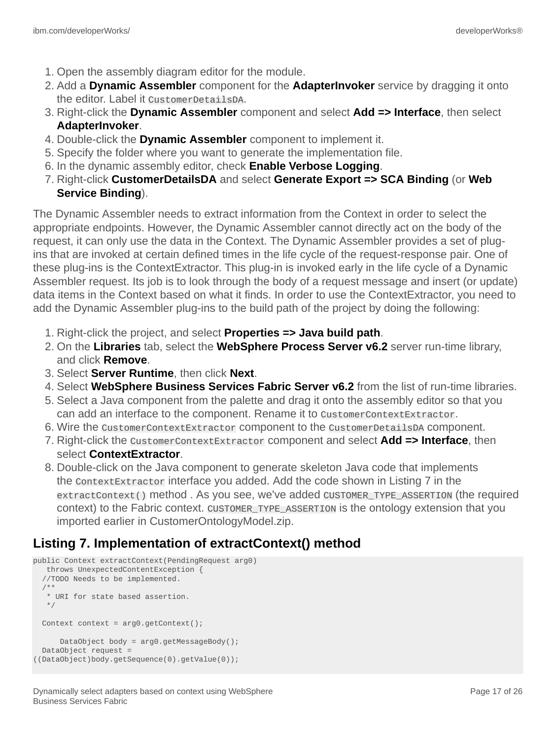- 1. Open the assembly diagram editor for the module.
- 2. Add a **Dynamic Assembler** component for the **AdapterInvoker** service by dragging it onto the editor. Label it CustomerDetailsDA.
- 3. Right-click the **Dynamic Assembler** component and select **Add => Interface**, then select **AdapterInvoker**.
- 4. Double-click the **Dynamic Assembler** component to implement it.
- 5. Specify the folder where you want to generate the implementation file.
- 6. In the dynamic assembly editor, check **Enable Verbose Logging**.
- 7. Right-click **CustomerDetailsDA** and select **Generate Export => SCA Binding** (or **Web Service Binding**).

The Dynamic Assembler needs to extract information from the Context in order to select the appropriate endpoints. However, the Dynamic Assembler cannot directly act on the body of the request, it can only use the data in the Context. The Dynamic Assembler provides a set of plugins that are invoked at certain defined times in the life cycle of the request-response pair. One of these plug-ins is the ContextExtractor. This plug-in is invoked early in the life cycle of a Dynamic Assembler request. Its job is to look through the body of a request message and insert (or update) data items in the Context based on what it finds. In order to use the ContextExtractor, you need to add the Dynamic Assembler plug-ins to the build path of the project by doing the following:

- 1. Right-click the project, and select **Properties => Java build path**.
- 2. On the **Libraries** tab, select the **WebSphere Process Server v6.2** server run-time library, and click **Remove**.
- 3. Select **Server Runtime**, then click **Next**.
- 4. Select **WebSphere Business Services Fabric Server v6.2** from the list of run-time libraries.
- 5. Select a Java component from the palette and drag it onto the assembly editor so that you can add an interface to the component. Rename it to CustomerContextExtractor.
- 6. Wire the CustomerContextExtractor component to the CustomerDetailsDA component.
- 7. Right-click the CustomerContextExtractor component and select **Add => Interface**, then select **ContextExtractor**.
- 8. Double-click on the Java component to generate skeleton Java code that implements the ContextExtractor interface you added. Add the code shown in Listing 7 in the extractContext() method . As you see, we've added CUSTOMER\_TYPE\_ASSERTION (the required context) to the Fabric context. CUSTOMER\_TYPE\_ASSERTION is the ontology extension that you imported earlier in CustomerOntologyModel.zip.

## **Listing 7. Implementation of extractContext() method**

```
public Context extractContext(PendingRequest arg0)
   throws UnexpectedContentException {
   //TODO Needs to be implemented.
 /**
   * URI for state based assertion.
    */
 Context context = arg0.getContext();
      DataObject body = arg0.getMessageBody();
  DataObject request =
((DataObject)body.getSequence(0).getValue(0));
```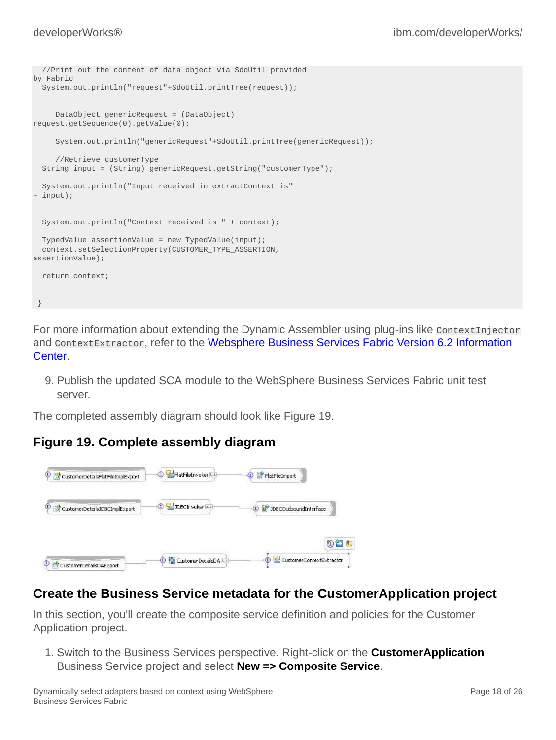```
 //Print out the content of data object via SdoUtil provided
by Fabric
  System.out.println("request"+SdoUtil.printTree(request));
      DataObject genericRequest = (DataObject)
request.getSequence(0).getValue(0);
      System.out.println("genericRequest"+SdoUtil.printTree(genericRequest));
      //Retrieve customerType
  String input = (String) genericRequest.getString("customerType");
  System.out.println("Input received in extractContext is"
+ input);
  System.out.println("Context received is " + context);
  TypedValue assertionValue = new TypedValue(input);
  context.setSelectionProperty(CUSTOMER_TYPE_ASSERTION,
assertionValue);
   return context;
 }
```
For more information about extending the Dynamic Assembler using plug-ins like context Injector and ContextExtractor, refer to the [Websphere Business Services Fabric Version 6.2 Information](http://publib.boulder.ibm.com/infocenter/dmndhelp/v6r1mx/index.jsp?topic=/com.ibm.ws.fabric.icmaster.doc/fabric_welcome.html) [Center](http://publib.boulder.ibm.com/infocenter/dmndhelp/v6r1mx/index.jsp?topic=/com.ibm.ws.fabric.icmaster.doc/fabric_welcome.html).

9. Publish the updated SCA module to the WebSphere Business Services Fabric unit test server.

The completed assembly diagram should look like Figure 19.

### **Figure 19. Complete assembly diagram**



### **Create the Business Service metadata for the CustomerApplication project**

In this section, you'll create the composite service definition and policies for the Customer Application project.

1. Switch to the Business Services perspective. Right-click on the **CustomerApplication** Business Service project and select **New => Composite Service**.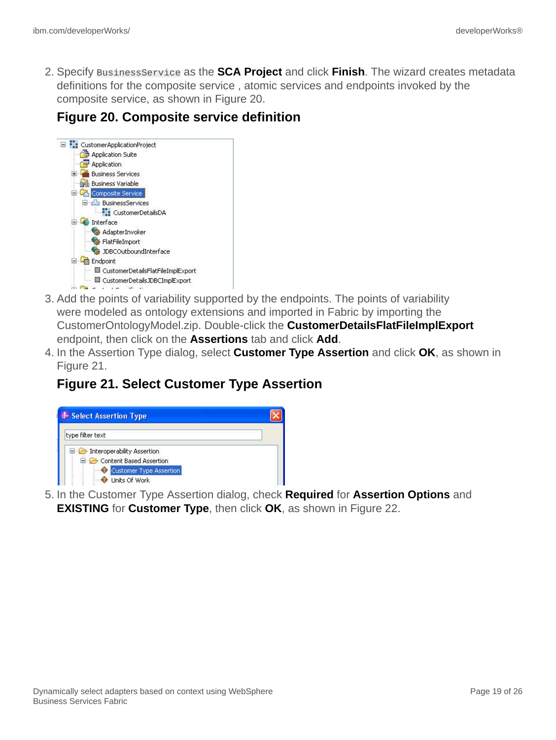2. Specify BusinessService as the **SCA Project** and click **Finish**. The wizard creates metadata definitions for the composite service , atomic services and endpoints invoked by the composite service, as shown in Figure 20.

### **Figure 20. Composite service definition**



- 3. Add the points of variability supported by the endpoints. The points of variability were modeled as ontology extensions and imported in Fabric by importing the CustomerOntologyModel.zip. Double-click the **CustomerDetailsFlatFileImplExport** endpoint, then click on the **Assertions** tab and click **Add**.
- 4. In the Assertion Type dialog, select **Customer Type Assertion** and click **OK**, as shown in Figure 21.

## **Figure 21. Select Customer Type Assertion**



5. In the Customer Type Assertion dialog, check **Required** for **Assertion Options** and **EXISTING** for **Customer Type**, then click **OK**, as shown in Figure 22.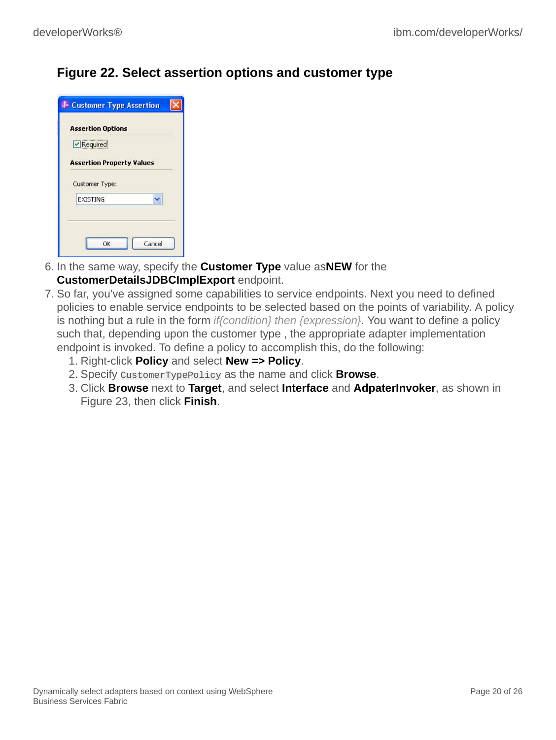### **Figure 22. Select assertion options and customer type**

| Required                         |
|----------------------------------|
| <b>Assertion Property Values</b> |
|                                  |
| Customer Type:                   |
| <b>EXISTING</b>                  |

- 6. In the same way, specify the **Customer Type** value as**NEW** for the **CustomerDetailsJDBCImplExport** endpoint.
- 7. So far, you've assigned some capabilities to service endpoints. Next you need to defined policies to enable service endpoints to be selected based on the points of variability. A policy is nothing but a rule in the form *if{condition} then {expression}*. You want to define a policy such that, depending upon the customer type , the appropriate adapter implementation endpoint is invoked. To define a policy to accomplish this, do the following:
	- 1. Right-click **Policy** and select **New => Policy**.
	- 2. Specify CustomerTypePolicy as the name and click **Browse**.
	- 3. Click **Browse** next to **Target**, and select **Interface** and **AdpaterInvoker**, as shown in Figure 23, then click **Finish**.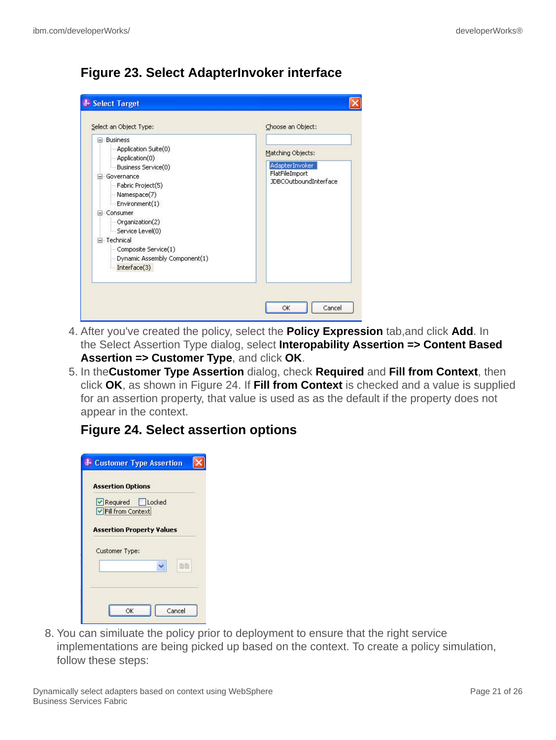# **Figure 23. Select AdapterInvoker interface**

| <b>Business</b>                                                                                                                                            |                                                                                |
|------------------------------------------------------------------------------------------------------------------------------------------------------------|--------------------------------------------------------------------------------|
| Application Suite(0)<br>Application(0)<br>Business Service(0)<br>Governance<br>- Fabric Project(5)<br>Namespace(7)                                         | Matching Objects:<br>AdapterInvoker<br>FlatFileImport<br>JDBCOutboundInterface |
| Environment(1)<br>Consumer<br>Organization(2)<br>Service Level(0)<br>El-Technical<br>Composite Service(1)<br>Dynamic Assembly Component(1)<br>Interface(3) |                                                                                |

- 4. After you've created the policy, select the **Policy Expression** tab,and click **Add**. In the Select Assertion Type dialog, select **Interopability Assertion => Content Based Assertion => Customer Type**, and click **OK**.
- 5. In the**Customer Type Assertion** dialog, check **Required** and **Fill from Context**, then click **OK**, as shown in Figure 24. If **Fill from Context** is checked and a value is supplied for an assertion property, that value is used as as the default if the property does not appear in the context.

### **Figure 24. Select assertion options**

| <b>Assertion Options</b>             |  |    |
|--------------------------------------|--|----|
| Required Locked<br>Fill from Context |  |    |
|                                      |  |    |
| <b>Assertion Property Values</b>     |  |    |
| Customer Type:                       |  |    |
|                                      |  | 盾目 |
|                                      |  |    |

8. You can similuate the policy prior to deployment to ensure that the right service implementations are being picked up based on the context. To create a policy simulation, follow these steps: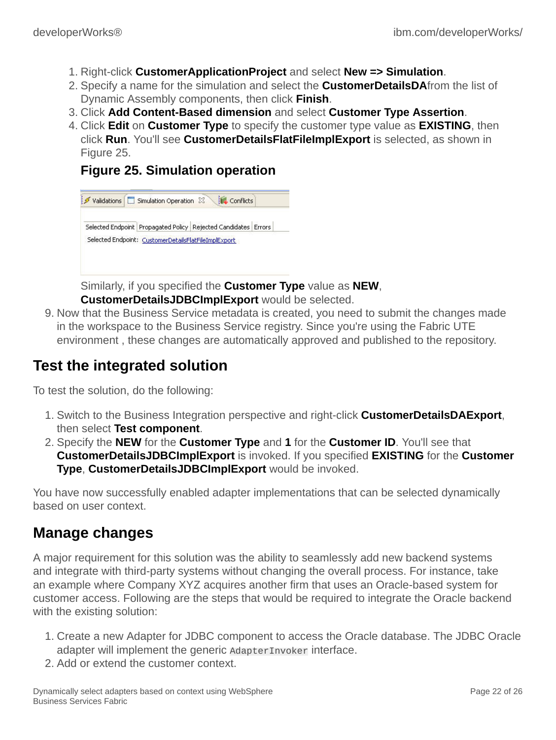- 1. Right-click **CustomerApplicationProject** and select **New => Simulation**.
- 2. Specify a name for the simulation and select the **CustomerDetailsDA**from the list of Dynamic Assembly components, then click **Finish**.
- 3. Click **Add Content-Based dimension** and select **Customer Type Assertion**.
- 4. Click **Edit** on **Customer Type** to specify the customer type value as **EXISTING**, then click **Run**. You'll see **CustomerDetailsFlatFileImplExport** is selected, as shown in Figure 25.

### **Figure 25. Simulation operation**



Similarly, if you specified the **Customer Type** value as **NEW**,

**CustomerDetailsJDBCImplExport** would be selected.

9. Now that the Business Service metadata is created, you need to submit the changes made in the workspace to the Business Service registry. Since you're using the Fabric UTE environment , these changes are automatically approved and published to the repository.

# **Test the integrated solution**

To test the solution, do the following:

- 1. Switch to the Business Integration perspective and right-click **CustomerDetailsDAExport**, then select **Test component**.
- 2. Specify the **NEW** for the **Customer Type** and **1** for the **Customer ID**. You'll see that **CustomerDetailsJDBCImplExport** is invoked. If you specified **EXISTING** for the **Customer Type**, **CustomerDetailsJDBCImplExport** would be invoked.

You have now successfully enabled adapter implementations that can be selected dynamically based on user context.

# **Manage changes**

A major requirement for this solution was the ability to seamlessly add new backend systems and integrate with third-party systems without changing the overall process. For instance, take an example where Company XYZ acquires another firm that uses an Oracle-based system for customer access. Following are the steps that would be required to integrate the Oracle backend with the existing solution:

- 1. Create a new Adapter for JDBC component to access the Oracle database. The JDBC Oracle adapter will implement the generic AdapterInvoker interface.
- 2. Add or extend the customer context.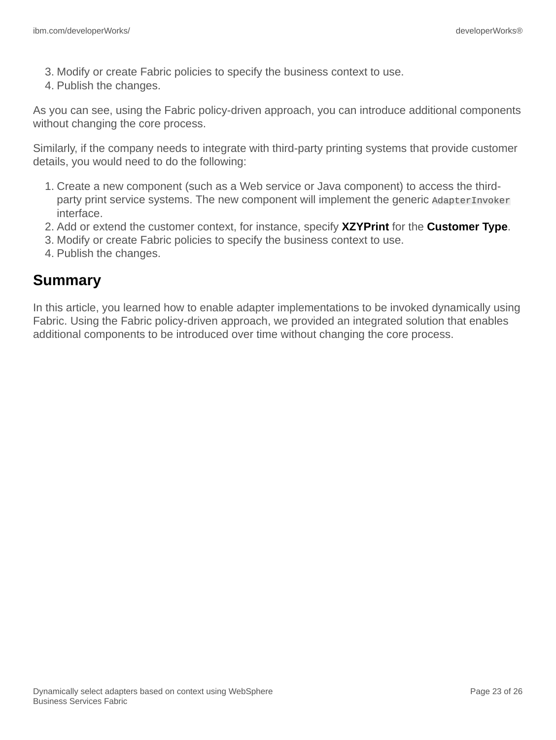- 3. Modify or create Fabric policies to specify the business context to use.
- 4. Publish the changes.

As you can see, using the Fabric policy-driven approach, you can introduce additional components without changing the core process.

Similarly, if the company needs to integrate with third-party printing systems that provide customer details, you would need to do the following:

- 1. Create a new component (such as a Web service or Java component) to access the thirdparty print service systems. The new component will implement the generic AdapterInvoker interface.
- 2. Add or extend the customer context, for instance, specify **XZYPrint** for the **Customer Type**.
- 3. Modify or create Fabric policies to specify the business context to use.
- 4. Publish the changes.

# **Summary**

In this article, you learned how to enable adapter implementations to be invoked dynamically using Fabric. Using the Fabric policy-driven approach, we provided an integrated solution that enables additional components to be introduced over time without changing the core process.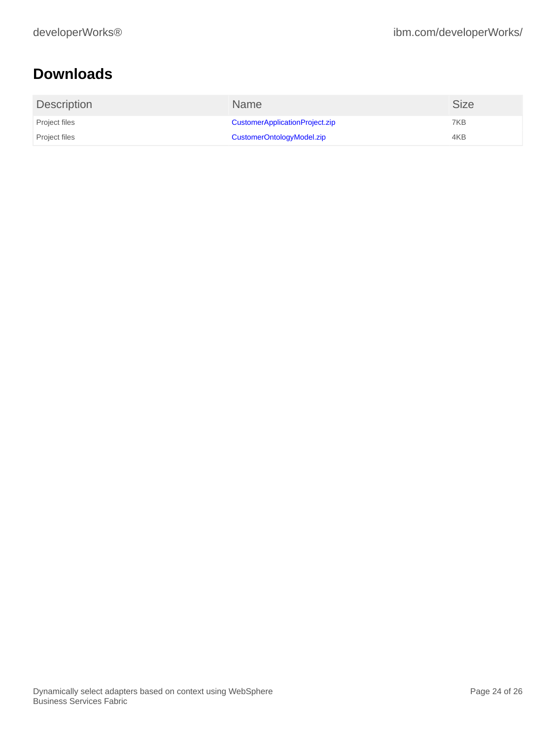# <span id="page-23-0"></span>**Downloads**

| <b>Description</b> | <b>Name</b>                    | <b>Size</b> |
|--------------------|--------------------------------|-------------|
| Project files      | CustomerApplicationProject.zip | 7KB         |
| Project files      | CustomerOntologyModel.zip      | 4KB         |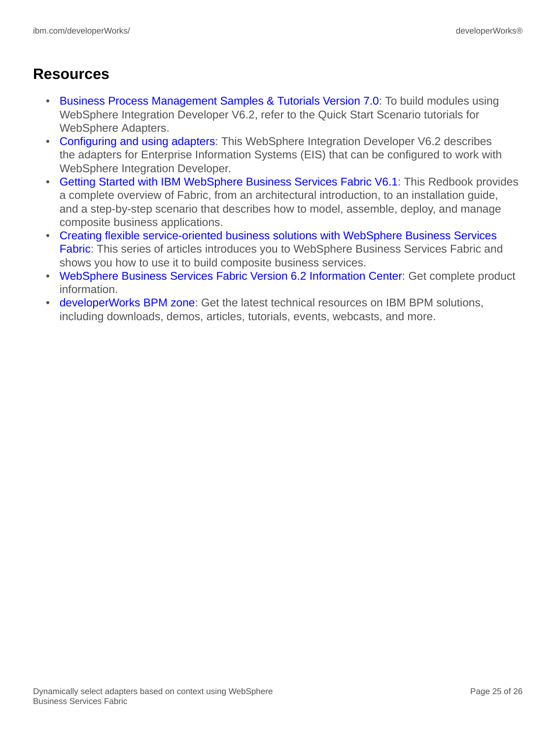# **Resources**

- [Business Process Management Samples & Tutorials Version 7.0:](http://publib.boulder.ibm.com/bpcsamp/v6r2/index.htmll) To build modules using WebSphere Integration Developer V6.2, refer to the Quick Start Scenario tutorials for WebSphere Adapters.
- [Configuring and using adapters](http://publib.boulder.ibm.com/infocenter/dmndhelp/v6r2mx/index.jsp?topic=/com.ibm.wbit.620.help.adapter.emd.ui.doc/topics/tcreatecmps.html): This WebSphere Integration Developer V6.2 describes the adapters for Enterprise Information Systems (EIS) that can be configured to work with WebSphere Integration Developer.
- [Getting Started with IBM WebSphere Business Services Fabric V6.1](http://www.redbooks.ibm.com/abstracts/SG247614.html): This Redbook provides a complete overview of Fabric, from an architectural introduction, to an installation guide, and a step-by-step scenario that describes how to model, assemble, deploy, and manage composite business applications.
- [Creating flexible service-oriented business solutions with WebSphere Business Services](http://www.ibm.com/developerworks/views/websphere/libraryview.jsp?search_by=Creating+flexible+service-oriented+business+solutions+with+WebSphere+Business+Services+Fabric,+Part) [Fabric](http://www.ibm.com/developerworks/views/websphere/libraryview.jsp?search_by=Creating+flexible+service-oriented+business+solutions+with+WebSphere+Business+Services+Fabric,+Part): This series of articles introduces you to WebSphere Business Services Fabric and shows you how to use it to build composite business services.
- [WebSphere Business Services Fabric Version 6.2 Information Center:](http://publib.boulder.ibm.com/infocenter/dmndhelp/v6r1mx/index.jsp?topic=/com.ibm.ws.fabric.icmaster.doc/fabric_top_welcome.html) Get complete product information.
- [developerWorks BPM zone:](http://www.ibm.com/developerworks/websphere/zones/bpm/) Get the latest technical resources on IBM BPM solutions, including downloads, demos, articles, tutorials, events, webcasts, and more.